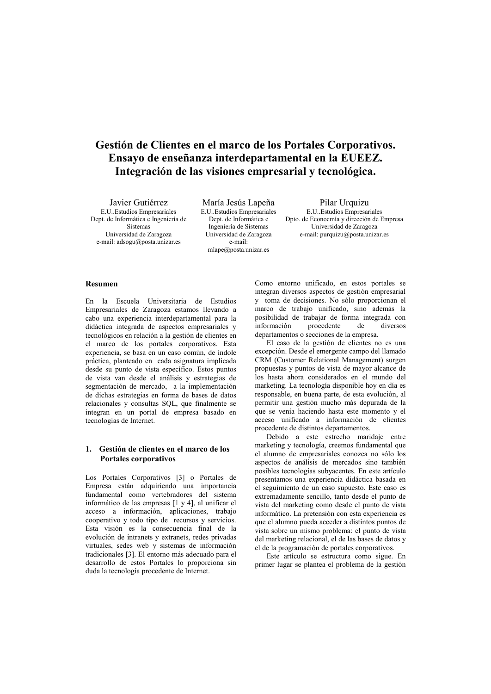# Gestión de Clientes en el marco de los Portales Corporativos. Ensayo de enseñanza interdepartamental en la EUEEZ. Integración de las visiones empresarial y tecnológica.

Javier Gutiérrez **E U. Estudios Empresariales** Dept. de Informática e Ingeniería de Sistemas Universidad de Zaragoza e-mail: adsogu@posta.unizar.es

María Jesús Lapeña E.U. Estudios Empresariales Dept. de Informática e Ingeniería de Sistemas Universidad de Zaragoza e-mail:  $mlape@posta.unizar.es$ 

Pilar Urquizu E.U. Estudios Empresariales Dpto. de Econocmía y dirección de Empresa Universidad de Zaragoza e-mail: purquizu@posta.unizar.es

# **Resumen**

En la Escuela Universitaria de Estudios Empresariales de Zaragoza estamos llevando a cabo una experiencia interdepartamental para la didáctica integrada de aspectos empresariales y tecnológicos en relación a la gestión de clientes en el marco de los portales corporativos. Esta experiencia, se basa en un caso común, de índole práctica, planteado en cada asignatura implicada desde su punto de vista específico. Estos puntos de vista van desde el análisis y estrategias de segmentación de mercado. a la implementación de dichas estrategias en forma de bases de datos relacionales y consultas SQL, que finalmente se integran en un portal de empresa basado en tecnologías de Internet.

## 1. Gestión de clientes en el marco de los Portales corporativos

Los Portales Corporativos [3] o Portales de Empresa están adquiriendo una importancia fundamental como vertebradores del sistema informático de las empresas [1 y 4], al unificar el acceso a información, aplicaciones, trabajo cooperativo y todo tipo de recursos y servicios. Esta visión es la consecuencia final de la evolución de intranets y extranets, redes privadas virtuales, sedes web y sistemas de información tradicionales [3]. El entorno más adecuado para el desarrollo de estos Portales lo proporciona sin duda la tecnología procedente de Internet.

Como entorno unificado, en estos portales se integran diversos aspectos de gestión empresarial y toma de decisiones. No sólo proporcionan el marco de trabajo unificado, sino además la posibilidad de trabajar de forma integrada con información procedente de diversos departamentos o secciones de la empresa.

El caso de la gestión de clientes no es una excepción. Desde el emergente campo del llamado CRM (Customer Relational Management) surgen propuestas y puntos de vista de mayor alcance de los hasta ahora considerados en el mundo del marketing. La tecnología disponible hoy en día es responsable, en buena parte, de esta evolución, al permitir una gestión mucho más depurada de la que se venía haciendo hasta este momento y el acceso unificado a información de clientes procedente de distintos departamentos.

Debido a este estrecho maridaje entre marketing y tecnología, creemos fundamental que el alumno de empresariales conozca no sólo los aspectos de análisis de mercados sino también posibles tecnologías subvacentes. En este artículo presentamos una experiencia didáctica basada en el seguimiento de un caso supuesto. Este caso es extremadamente sencillo, tanto desde el punto de vista del marketing como desde el punto de vista informático. La pretensión con esta experiencia es que el alumno pueda acceder a distintos puntos de vista sobre un mismo problema: el punto de vista del marketing relacional, el de las bases de datos y el de la programación de portales corporativos.

Este artículo se estructura como sigue. En primer lugar se plantea el problema de la gestión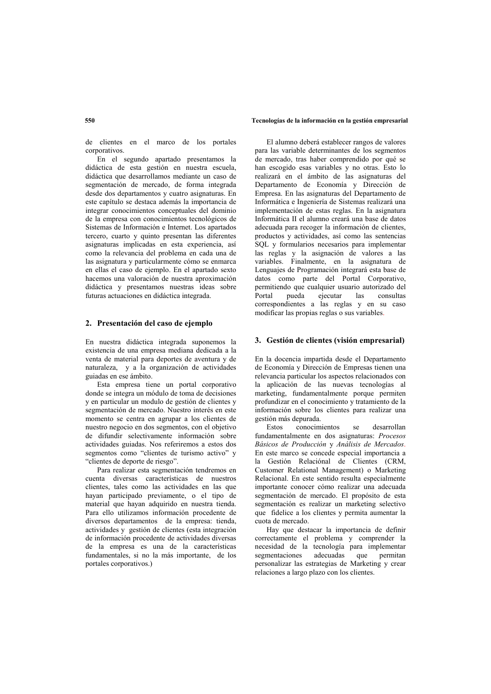#### Tecnologías de la información en la gestión empresarial

de clientes en el marco de los portales cornorativos

En el segundo apartado presentamos la didáctica de esta gestión en nuestra escuela, didáctica que desarrollamos mediante un caso de segmentación de mercado, de forma integrada desde dos departamentos y cuatro asignaturas. En este capítulo se destaca además la importancia de integrar conocimientos conceptuales del dominio de la empresa con conocimientos tecnológicos de Sistemas de Información e Internet. Los apartados tercero, cuarto y quinto presentan las diferentes asignaturas implicadas en esta experiencia, así como la relevancia del problema en cada una de las asignatura y particularmente cómo se enmarca en ellas el caso de ejemplo. En el apartado sexto hacemos una valoración de nuestra aproximación didáctica y presentamos nuestras ideas sobre futuras actuaciones en didáctica integrada.

#### 2. Presentación del caso de ejemplo

En nuestra didáctica integrada suponemos la existencia de una empresa mediana dedicada a la venta de material para deportes de aventura y de naturaleza, y a la organización de actividades guiadas en ese ámbito.

Esta empresa tiene un portal corporativo donde se integra un módulo de toma de decisiones y en particular un modulo de gestión de clientes y segmentación de mercado. Nuestro interés en este momento se centra en agrupar a los clientes de nuestro negocio en dos segmentos, con el objetivo de difundir selectivamente información sobre actividades guiadas. Nos referiremos a estos dos segmentos como "clientes de turismo activo" y "clientes de deporte de riesgo".

Para realizar esta segmentación tendremos en cuenta diversas características de nuestros clientes, tales como las actividades en las que hayan participado previamente, o el tipo de material que hayan adquirido en nuestra tienda. Para ello utilizamos información procedente de diversos departamentos de la empresa: tienda, actividades y gestión de clientes (esta integración de información procedente de actividades diversas de la empresa es una de la características fundamentales, si no la más importante, de los portales corporativos.)

El alumno deberá establecer rangos de valores para las variable determinantes de los segmentos de mercado, tras haber comprendido por qué se han escogido esas variables y no otras. Esto lo realizará en el ámbito de las asignaturas del Departamento de Economía y Dirección de Empresa. En las asignaturas del Departamento de Informática e Ingeniería de Sistemas realizará una implementación de estas reglas. En la asignatura Informática II el alumno creará una base de datos adecuada para recoger la información de clientes. productos y actividades, así como las sentencias SOL y formularios necesarios para implementar las reglas y la asignación de valores a las variables. Finalmente, en la asignatura de Lenguajes de Programación integrará esta base de datos como parte del Portal Corporativo, permitiendo que cualquier usuario autorizado del consultas  $Partal$ pueda ejecutar las correspondientes a las reglas y en su caso modificar las propias reglas o sus variables.

### 3. Gestión de clientes (visión empresarial)

En la docencia impartida desde el Departamento de Economía y Dirección de Empresas tienen una relevancia particular los aspectos relacionados con la aplicación de las nuevas tecnologías al marketing, fundamentalmente porque permiten profundizar en el conocimiento y tratamiento de la información sobre los clientes para realizar una gestión más depurada.

 $Eeta$ conocimientos decarrollan  $\mathbf{e}$ fundamentalmente en dos asignaturas: Procesos Básicos de Producción y Análisis de Mercados. En este marco se concede especial importancia a la Gestión Relaciónal de Clientes (CRM, Customer Relational Management) o Marketing Relacional. En este sentido resulta especialmente importante conocer cómo realizar una adecuada segmentación de mercado. El propósito de esta segmentación es realizar un marketing selectivo que fidelice a los clientes y permita aumentar la cuota de mercado.

Hay que destacar la importancia de definir correctamente el problema y comprender la necesidad de la tecnología para implementar segmentaciones adecuadas que permitan personalizar las estrategias de Marketing y crear relaciones a largo plazo con los clientes.

### 550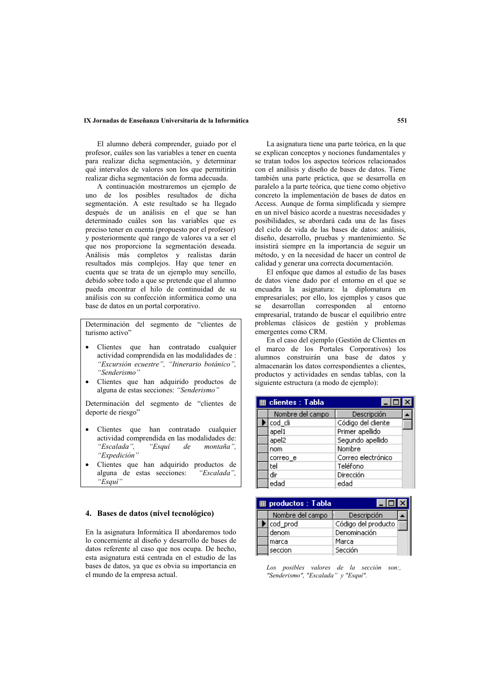### IX Jornadas de Enseñanza Universitaria de la Informática

El alumno deberá comprender, guiado por el profesor, cuáles son las variables a tener en cuenta para realizar dicha segmentación, y determinar qué intervalos de valores son los que permitirán realizar dicha segmentación de forma adecuada.

A continuación mostraremos un ejemplo de uno de los posibles resultados de dicha segmentación. A este resultado se ha llegado después de un análisis en el que se han determinado cuáles son las variables que es preciso tener en cuenta (propuesto por el profesor) y posteriormente qué rango de valores va a ser el que nos proporcione la segmentación deseada. Análisis más completos y realistas darán resultados más complejos. Hay que tener en cuenta que se trata de un ejemplo muy sencillo, debido sobre todo a que se pretende que el alumno pueda encontrar el hilo de continuidad de su análisis con su confección informática como una base de datos en un portal corporativo.

Determinación del segmento de "clientes de turismo activo'

- Clientes que han contratado cualquier actividad comprendida en las modalidades de : "Excursión ecuestre", "Itinerario botánico", "Senderismo"
- Clientes que han adquirido productos de alguna de estas secciones: "Senderismo"

Determinación del segmento de "clientes de deporte de riesgo"

- Clientes que han contratado cualquier actividad comprendida en las modalidades de: "Escalada". "Esauí  $de$ montaña". "Expedición"
- Clientes que han adquirido productos de alguna de estas secciones: "Escalada". "Esqui

## 4. Bases de datos (nivel tecnológico)

En la asignatura Informática II abordaremos todo lo concerniente al diseño y desarrollo de bases de datos referente al caso que nos ocupa. De hecho. esta asignatura está centrada en el estudio de las bases de datos, ya que es obvia su importancia en el mundo de la empresa actual.

La asignatura tiene una parte teórica, en la que se explican conceptos y nociones fundamentales y se tratan todos los aspectos teóricos relacionados con el análisis y diseño de bases de datos. Tiene también una parte práctica, que se desarrolla en paralelo a la parte teórica, que tiene como objetivo concreto la implementación de bases de datos en Access. Aunque de forma simplificada y siempre en un nivel básico acorde a nuestras necesidades y posibilidades, se abordará cada una de las fases del ciclo de vida de las bases de datos: análisis, diseño, desarrollo, pruebas y mantenimiento. Se insistirá siempre en la importancia de seguir un método, y en la necesidad de hacer un control de calidad y generar una correcta documentación.

El enfoque que damos al estudio de las bases de datos viene dado por el entorno en el que se encuadra la asignatura: la diplomatura en empresariales; por ello, los ejemplos y casos que se desarrollan corresponden al entorno empresarial, tratando de buscar el equilibrio entre problemas clásicos de gestión y problemas emergentes como CRM.

En el caso del ejemplo (Gestión de Clientes en el marco de los Portales Corporativos) los alumnos construirán una base de datos y almacenarán los datos correspondientes a clientes, productos y actividades en sendas tablas, con la siguiente estructura (a modo de ejemplo):

| <b>用 clientes: Tabla</b> |                    |  |
|--------------------------|--------------------|--|
| Nombre del campo         | Descripción        |  |
| cod cli                  | Código del cliente |  |
| apel1                    | Primer apellido    |  |
| apel2                    | Segundo apellido   |  |
| nom                      | Nombre             |  |
| correo e                 | Correo electrónico |  |
| tel                      | Teléfono           |  |
| dir                      | Dirección          |  |
| edad                     | edad               |  |

| <b>用 productos: Tabla</b> |                     |  |
|---------------------------|---------------------|--|
| Nombre del campo          | Descripción         |  |
| cod prod                  | Código del producto |  |
| denom                     | Denominación        |  |
| marca                     | Marca               |  |
| seccion                   | Sección             |  |
|                           |                     |  |

Los posibles valores de la sección son:,<br>"Senderismo", "Escalada" y "Esquí".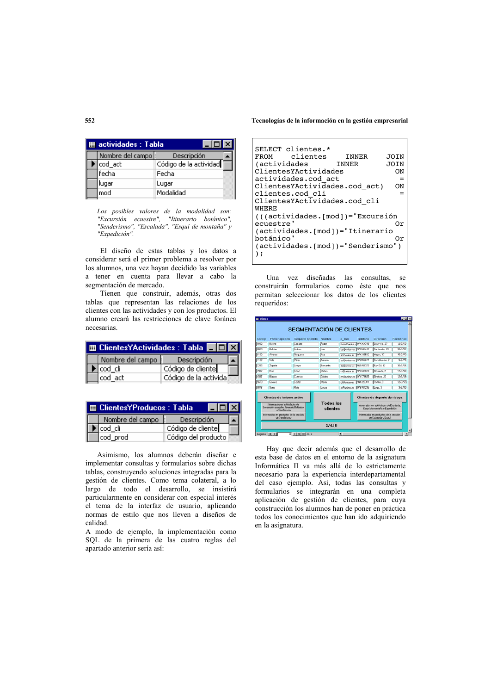#### Tecnologías de la información en la gestión empresarial

|  | <b>■ actividades: Tabla</b> |                        |
|--|-----------------------------|------------------------|
|  | Nombre del campo :          | Descripción            |
|  | cod act                     | Código de la actividad |
|  | fecha                       | Fecha                  |
|  | lugar                       | Lugar                  |
|  | mod                         | Modalidad              |
|  |                             |                        |

Los posibles valores de la modalidad son:<br>"Excursión ecuestre", "Itinerario botánico", "Senderismo", "Escalada", "Esquí de montaña" y "Expedición".

El diseño de estas tablas y los datos a considerar será el primer problema a resolver por los alumnos, una vez hayan decidido las variables a tener en cuenta para llevar a cabo la segmentación de mercado.

Tienen que construir, además, otras dos tablas que representan las relaciones de los clientes con las actividades y con los productos. El alumno creará las restricciones de clave foránea necesarias.

| Nombre del campo  : | Descripción           |  |
|---------------------|-----------------------|--|
| cod cli             | Código de cliente     |  |
| lcod act            | Código de la activida |  |

| 用 ClientesYProducos : Tabla |                     |  |
|-----------------------------|---------------------|--|
| Nombre del campo            | Descripción         |  |
| lcod cli                    | Código de cliente   |  |
| lcod prod                   | Código del producto |  |

Asimismo, los alumnos deberán diseñar e implementar consultas y formularios sobre dichas tablas, construyendo soluciones integradas para la gestión de clientes. Como tema colateral, a lo largo de todo el desarrollo, se insistirá particularmente en considerar con especial interés el tema de la interfaz de usuario, aplicando normas de estilo que nos lleven a diseños de calidad.

A modo de ejemplo, la implementación como SQL de la primera de las cuatro reglas del apartado anterior sería así:

| SELECT clientes.*                   |       |      |
|-------------------------------------|-------|------|
|                                     |       |      |
| FROM clientes                       | INNER | JOIN |
| <i>(actividades</i>                 | INNER | JOIN |
| ClientesYActividades                |       | ON   |
| actividades.cod act                 |       |      |
| ClientesYActividades.cod act)       |       | ΩN   |
| clientes.cod cli                    |       |      |
| ClientesYActividades.cod cli        |       |      |
| WHERE                               |       |      |
| (((actividades.[mod])="Excursión    |       |      |
| ecuestre"                           |       | Or   |
| (actividades.[mod])="Itinerario     |       |      |
| botánico"                           |       | Or   |
| (actividades.[mod]) = "Senderismo") |       |      |
|                                     |       |      |

Una vez diseñadas las consultas, se construirán formularios como éste que nos permitan seleccionar los datos de los clientes requeridos:

| Códino      | Primer apellido                                                                                                        | Segundo apellido | Nombee                       | e mail                  | Teléfono    | Dirección                                                                                                  | Fecha nac  |
|-------------|------------------------------------------------------------------------------------------------------------------------|------------------|------------------------------|-------------------------|-------------|------------------------------------------------------------------------------------------------------------|------------|
| <b>COU2</b> | Bueno                                                                                                                  | Casado           | Angel                        | buca@uniow - 374364758  |             | Gran Via. 27                                                                                               | 12/3/60    |
| licono      | <b>Beltiko</b>                                                                                                         | <b>Anba</b>      | <b>Luis</b>                  | bally piece es          | 376345432   | Santander, 23                                                                                              | 30/3/62    |
| [0100]      | <b>ANNA2</b>                                                                                                           | Requeno          | <b>LAnk</b>                  | affirmances.            | 27433544    | Марке, 37                                                                                                  | 15/3/70    |
| 1122        | lval:                                                                                                                  | Pérez            | Artonio                      | VD/Punicar.es 976556677 |             | Constitución, 21                                                                                           | 9/6/75     |
| <b>D233</b> | Zapata                                                                                                                 | Алоро            | <b>Bernando</b>              | <b>ENRUGEN AL</b>       | F611496.072 | <b>San Gt. 12</b>                                                                                          | $31/3/8$ . |
| <b>Draw</b> | Bug                                                                                                                    | <b>DANS</b>      | <b>Maleo</b>                 | sa Ghumibar, et         | 976345623   | Albanda 2                                                                                                  | 17/3/98    |
| <b>RSC</b>  | <b>Rivico</b>                                                                                                          | Cuenca           | Cretina                      | bollkunizar.es          | 974776455   | Gratea 20                                                                                                  | 12/3/69    |
| 5679        | Gómez                                                                                                                  | Lostal           | Marla                        | d/Pungar es             | 941223311   | Ponillo, 9                                                                                                 | 12/3/95    |
| F80%        | Sanz                                                                                                                   | Ruiz             | Laura                        | <b>IN MISSION</b>       | 976761235   | Lugo, 3                                                                                                    | 3/3/60     |
|             | Clientes de turismo activo<br>Interesador en actividades de<br>Exceursión equestre, Itinerario Bolánico<br>o Sardwinno |                  | <b>Todos los</b><br>clientes |                         |             | Clientes de deporte de riesgo.<br>Interesados en actividades de Escalada.<br>Esqui de montaña o Expedición |            |
|             | Interesados en productos de la sección<br>de Senderismo                                                                |                  |                              |                         |             | Interesados en productos de la sección<br>de Escalada o Esqui                                              |            |
|             |                                                                                                                        |                  | <b>SALIR</b>                 |                         |             |                                                                                                            |            |

Hay que decir además que el desarrollo de esta base de datos en el entorno de la asignatura Informática II va más allá de lo estrictamente necesario para la experiencia interdepartamental del caso ejemplo. Así, todas las consultas y formularios se integrarán en una completa aplicación de gestión de clientes, para cuya construcción los alumnos han de poner en práctica todos los conocimientos que han ido adquiriendo en la asignatura.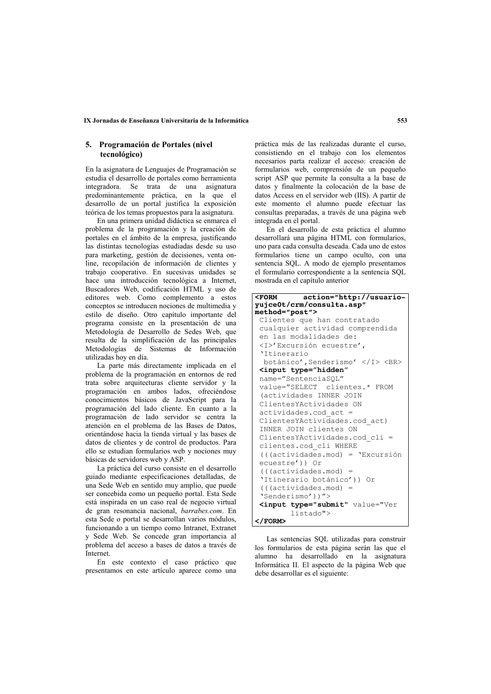## 5. Programación de Portales (nivel tecnológico)

En la asignatura de Lenguajes de Programación se estudia el desarrollo de portales como herramienta integradora. Se trata de una asignatura predominantemente práctica, en la que el desarrollo de un portal justifica la exposición teórica de los temas propuestos para la asignatura.

En una primera unidad didáctica se enmarca el problema de la programación y la creación de portales en el ámbito de la empresa, justificando las distintas tecnologías estudiadas desde su uso para marketing, gestión de decisiones, venta online, recopilación de información de clientes y trabajo cooperativo. En sucesivas unidades se hace una introducción tecnológica a Internet Buscadores Web, codificación HTML y uso de editores web. Como complemento a estos conceptos se introducen nociones de multimedia v estilo de diseño. Otro capítulo importante del programa consiste en la presentación de una Metodología de Desarrollo de Sedes Web, que resulta de la simplificación de las principales Metodologías de Sistemas de Información utilizadas hoy en día.

La parte más directamente implicada en el problema de la programación en entornos de red trata sobre arquitecturas cliente servidor y la programación en ambos lados, ofreciéndose conocimientos básicos de JavaScript para la programación del lado cliente. En cuanto a la programación de lado servidor se centra la atención en el problema de las Bases de Datos, orientándose hacia la tienda virtual y las bases de datos de clientes y de control de productos. Para ello se estudian formularios web  $\hat{v}$  nociones muy básicas de servidores web y ASP.

La práctica del curso consiste en el desarrollo guiado mediante especificaciones detalladas, de una Sede Web en sentido muy amplio, que puede ser concebida como un pequeño portal. Esta Sede está inspirada en un caso real de negocio virtual de gran resonancia nacional, barrabes.com. En esta Sede o portal se desarrollan varios módulos, funcionando a un tiempo como Intranet. Extranet y Sede Web. Se concede gran importancia al problema del acceso a bases de datos a través de Internet

En este contexto el caso práctico que presentamos en este artículo aparece como una

práctica más de las realizadas durante el curso. consistiendo en el trabajo con los elementos necesarios parta realizar el acceso: creación de formularios web, comprensión de un pequeño script ASP que permite la consulta a la base de datos y finalmente la colocación de la base de datos Access en el servidor web (IIS). A partir de este momento el alumno puede efectuar las consultas preparadas, a través de una página web integrada en el portal.

En el desarrollo de esta práctica el alumno desarrollará una página HTML con formularios. uno para cada consulta deseada. Cada uno de estos formularios tiene un campo oculto, con una sentencia SOL. A modo de ejemplo presentamos el formulario correspondiente a la sentencia SOL mostrada en el capítulo anterior

| <b><form< b=""><br/>action="http://usuario-</form<></b>                             |
|-------------------------------------------------------------------------------------|
| yujce0t/crm/consulta.asp"                                                           |
| method="post">                                                                      |
| Clientes que han contratado                                                         |
| cualquier actividad comprendida                                                     |
| en las modalidades de:                                                              |
| <i>'Excursión ecuestre',</i>                                                        |
| 'Itinerario                                                                         |
| botánico', Senderismo'<br>                                                          |
| <input <="" th="" type="hidden"/>                                                   |
| name="SentenciaSOL"                                                                 |
| value="SELECT clientes.* FROM                                                       |
| (actividades INNER JOIN                                                             |
| ClientesYActividades ON                                                             |
| actividades.cod act =                                                               |
| ClientesYActividades.cod act)                                                       |
| INNER JOIN clientes ON                                                              |
| ClientesYActividades.cod cli =                                                      |
| clientes.cod cli WHERE                                                              |
| (((actividades.mod) = 'Excursión                                                    |
| ecuestre')) Or                                                                      |
| $((cctividades.mod) =$                                                              |
| 'Itinerario botánico')) Or                                                          |
| $((cctividades.mod) =$                                                              |
| 'Senderismo'))">                                                                    |
|                                                                                     |
| <input type="submit" value="Ver&lt;/td&gt;&lt;/tr&gt;&lt;tr&gt;&lt;td&gt;listado"/> |
| $\langle$ /FORM $\rangle$                                                           |

Las sentencias SOL utilizadas para construir los formularios de esta página serán las que el alumno ha desarrollado en la asignatura Informática II. El aspecto de la página Web que debe desarrollar es el siguiente: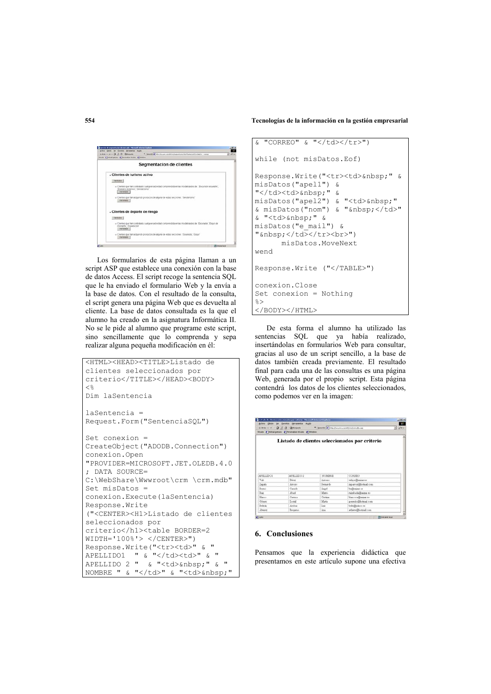Tecnologías de la información en la gestión empresarial

| <b>HER CO O 13 ONING</b>                      | * [peok 2] Vis Vaustrozalt/releperator/Informatily/debt  Inequ                                                                                  |
|-----------------------------------------------|-------------------------------------------------------------------------------------------------------------------------------------------------|
| Heats & Hondardshi & Pennship stude & Divises |                                                                                                                                                 |
|                                               | Segmentacion de clientes                                                                                                                        |
|                                               | - Clientes de turismo activo                                                                                                                    |
| Verbusse                                      |                                                                                                                                                 |
| Van Semate 1                                  | - Clertes que has contratado cualquer actividad comprendida en las modalidades de Elecársido ecuestre".<br><b>Energy Dolatico', Senderismo'</b> |
| Variation (1)                                 | - Clientes que han adquindo productos de alguna de estas secciones: Saindanono                                                                  |
|                                               | . Clientes de deporte de riesgo                                                                                                                 |
| <b>Shritcher</b>                              |                                                                                                                                                 |
| montaña". Tivoedición<br>Van Sumudu           | - Chertes due han contratado cualquier artividad comprendida en las modalidades de "Elicetede". Eligo/ de                                       |
|                                               | » Clientes que han adquirido productos de alguna de estas secciones. Escalada", Esqui".                                                         |

Los formularios de esta página llaman a un script ASP que establece una conexión con la base de datos Access. El script recoge la sentencia SQL que le ha enviado el formulario Web y la envía a la base de datos. Con el resultado de la consulta. el script genera una página Web que es devuelta al cliente. La base de datos consultada es la que el alumno ha creado en la asignatura Informática II. No se le pide al alumno que programe este script, sino sencillamente que lo comprenda y sepa realizar alguna pequeña modificación en él:

```
<HTML><HEAD><TITLE>Listado de
clientes seleccionados por
criterio</TITLE></HEAD><BODY>
\langleDim laSentencia
laSentencia =
Request. Form ("SentenciaSQL")
Set \nconexion =CreateObject ("ADODB.Connection")
conexion.Open
"PROVIDER=MICROSOFT.JET.OLEDB.4.0
; DATA SOURCE=
C:\WebShare\Wwwroot\crm \crm.mdb"
Set misDatos =
conexion. Execute (laSentencia)
Response. Write
("<CENTER><H1>Listado de clientes
seleccionados por
criterio</h1><table BORDER=2
WIDTH = '100%' > </CENTER")
Response. Write ("<tr><td>" & "
APELLIDO1 " & "</td><td>" & "
APELLIDO 2 " & % " <td> " & "NOMBRE " & "</td>" & "<td>&nbsp;"
```

```
& N "CORREO" & N "</td></tr>")
while (not misDatos.Eof)
Response. Write ("<tr><td>&nbsp;" &
misDatos("apell") &
"</td><td>&nbsp;" &
misDatos("apel2") & "<td>&nbsp;"
& misDatos("nom") & "  </td>"
& "<td>&nbsp;" &
misDatos ("e mail") &
"nbsp: </td> </tr> </tr>hr>"
      misDatos.MoveNext
wend
Response. Write ("</TABLE>")
conexion.Close
Set conexion = Nothing
\approx</BODY></HTML>
```
De esta forma el alumno ha utilizado las sentencias SQL que va había realizado, insertándolas en formularios Web para consultar, gracias al uso de un script sencillo, a la base de datos también creada previamente. El resultado final para cada una de las consultas es una página Web, generada por el propio script. Esta página contendrá los datos de los clientes seleccionados, como podemos ver en la imagen:

|                                                                                      | Arches Edition the Favoritte Instancested Aruda                     |          |                                                | <b>ALC</b><br>$-222$ |
|--------------------------------------------------------------------------------------|---------------------------------------------------------------------|----------|------------------------------------------------|----------------------|
|                                                                                      | Woodce: @ District primate : @ Personalizar vincular : @ Distribute |          |                                                |                      |
|                                                                                      |                                                                     |          | Listado de clientes seleccionados por criterio |                      |
|                                                                                      |                                                                     |          |                                                |                      |
|                                                                                      | APRILIDO 2                                                          | NOMBER   | CORREO                                         |                      |
| Valu                                                                                 | <b>Direct</b>                                                       | Azzonia  | value@minat.ex                                 |                      |
|                                                                                      | Acroys                                                              | Remardo  | ne arroyllitotead com-                         |                      |
|                                                                                      | Catado                                                              | Angel    | ballisting or                                  |                      |
|                                                                                      | Abad.                                                               | Mates.   | randada@usine.ex                               |                      |
|                                                                                      | Cuesca                                                              | Cristina | blarcoculibusinar.ex                           |                      |
|                                                                                      | Lostal                                                              | Marta    | gemente@hotmal.com                             |                      |
| APRILIDO1<br>Zapata<br>Bueno.<br>Rose.<br><b>Blanco</b><br>Gianez<br><b>Bulletin</b> | Arrivas                                                             | Tags:    | behrillvaboo.er                                |                      |

## 6. Conclusiones

Pensamos que la experiencia didáctica que presentamos en este artículo supone una efectiva

554